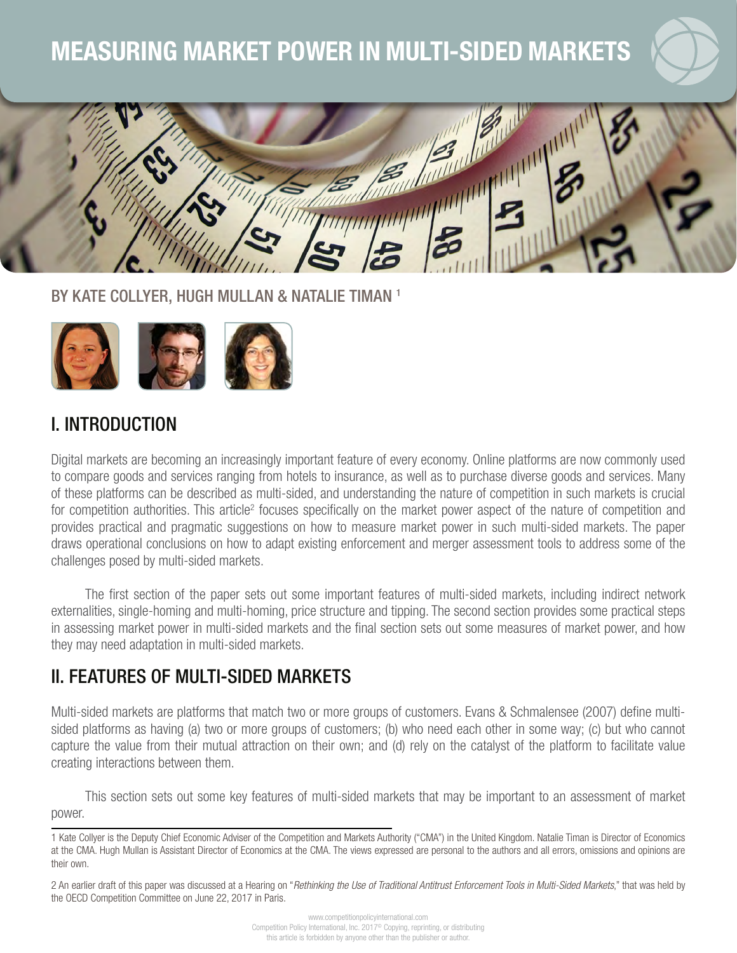# MEASURING MARKET POWER IN MULTI-SIDED MARKETS

1

BY KATE COLLYER, HUGH MULLAN & NATALIE TIMAN<sup>1</sup>



## I. INTRODUCTION

Digital markets are becoming an increasingly important feature of every economy. Online platforms are now commonly used to compare goods and services ranging from hotels to insurance, as well as to purchase diverse goods and services. Many of these platforms can be described as multi-sided, and understanding the nature of competition in such markets is crucial for competition authorities. This article<sup>2</sup> focuses specifically on the market power aspect of the nature of competition and provides practical and pragmatic suggestions on how to measure market power in such multi-sided markets. The paper draws operational conclusions on how to adapt existing enforcement and merger assessment tools to address some of the challenges posed by multi-sided markets.

The first section of the paper sets out some important features of multi-sided markets, including indirect network externalities, single-homing and multi-homing, price structure and tipping. The second section provides some practical steps in assessing market power in multi-sided markets and the final section sets out some measures of market power, and how they may need adaptation in multi-sided markets.

# IL FEATURES OF MULTI-SIDED MARKETS

Multi-sided markets are platforms that match two or more groups of customers. Evans & Schmalensee (2007) define multisided platforms as having (a) two or more groups of customers; (b) who need each other in some way; (c) but who cannot capture the value from their mutual attraction on their own; and (d) rely on the catalyst of the platform to facilitate value creating interactions between them.

This section sets out some key features of multi-sided markets that may be important to an assessment of market power.

<sup>1</sup> Kate Collyer is the Deputy Chief Economic Adviser of the Competition and Markets Authority ("CMA") in the United Kingdom. Natalie Timan is Director of Economics at the CMA. Hugh Mullan is Assistant Director of Economics at the CMA. The views expressed are personal to the authors and all errors, omissions and opinions are their own.

<sup>2</sup> An earlier draft of this paper was discussed at a Hearing on "*Rethinking the Use of Traditional Antitrust Enforcement Tools in Multi-Sided Markets*," that was held by the OECD Competition Committee on June 22, 2017 in Paris.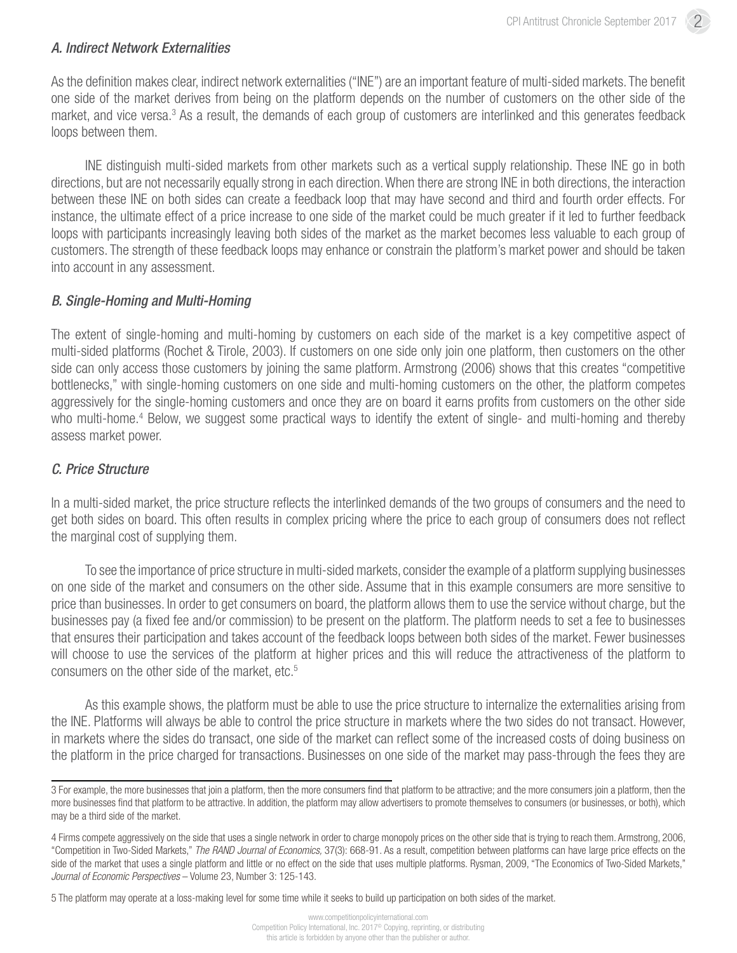### *A. Indirect Network Externalities*

As the definition makes clear, indirect network externalities ("INE") are an important feature of multi-sided markets. The benefit one side of the market derives from being on the platform depends on the number of customers on the other side of the market, and vice versa.<sup>3</sup> As a result, the demands of each group of customers are interlinked and this generates feedback loops between them.

INE distinguish multi-sided markets from other markets such as a vertical supply relationship. These INE go in both directions, but are not necessarily equally strong in each direction. When there are strong INE in both directions, the interaction between these INE on both sides can create a feedback loop that may have second and third and fourth order effects. For instance, the ultimate effect of a price increase to one side of the market could be much greater if it led to further feedback loops with participants increasingly leaving both sides of the market as the market becomes less valuable to each group of customers. The strength of these feedback loops may enhance or constrain the platform's market power and should be taken into account in any assessment.

### *B. Single-Homing and Multi-Homing*

The extent of single-homing and multi-homing by customers on each side of the market is a key competitive aspect of multi-sided platforms (Rochet & Tirole, 2003). If customers on one side only join one platform, then customers on the other side can only access those customers by joining the same platform. Armstrong (2006) shows that this creates "competitive bottlenecks," with single-homing customers on one side and multi-homing customers on the other, the platform competes aggressively for the single-homing customers and once they are on board it earns profits from customers on the other side who multi-home.<sup>4</sup> Below, we suggest some practical ways to identify the extent of single- and multi-homing and thereby assess market power.

### *C. Price Structure*

In a multi-sided market, the price structure reflects the interlinked demands of the two groups of consumers and the need to get both sides on board. This often results in complex pricing where the price to each group of consumers does not reflect the marginal cost of supplying them.

To see the importance of price structure in multi-sided markets, consider the example of a platform supplying businesses on one side of the market and consumers on the other side. Assume that in this example consumers are more sensitive to price than businesses. In order to get consumers on board, the platform allows them to use the service without charge, but the businesses pay (a fixed fee and/or commission) to be present on the platform. The platform needs to set a fee to businesses that ensures their participation and takes account of the feedback loops between both sides of the market. Fewer businesses will choose to use the services of the platform at higher prices and this will reduce the attractiveness of the platform to consumers on the other side of the market, etc.<sup>5</sup>

As this example shows, the platform must be able to use the price structure to internalize the externalities arising from the INE. Platforms will always be able to control the price structure in markets where the two sides do not transact. However, in markets where the sides do transact, one side of the market can reflect some of the increased costs of doing business on the platform in the price charged for transactions. Businesses on one side of the market may pass-through the fees they are

5 The platform may operate at a loss-making level for some time while it seeks to build up participation on both sides of the market.

<sup>3</sup> For example, the more businesses that join a platform, then the more consumers find that platform to be attractive; and the more consumers join a platform, then the more businesses find that platform to be attractive. In addition, the platform may allow advertisers to promote themselves to consumers (or businesses, or both), which may be a third side of the market.

<sup>4</sup> Firms compete aggressively on the side that uses a single network in order to charge monopoly prices on the other side that is trying to reach them. Armstrong, 2006, "Competition in Two-Sided Markets," *The RAND Journal of Economics,* 37(3): 668-91. As a result, competition between platforms can have large price effects on the side of the market that uses a single platform and little or no effect on the side that uses multiple platforms. Rysman, 2009, "The Economics of Two-Sided Markets," *Journal of Economic Perspectives* – Volume 23, Number 3: 125-143.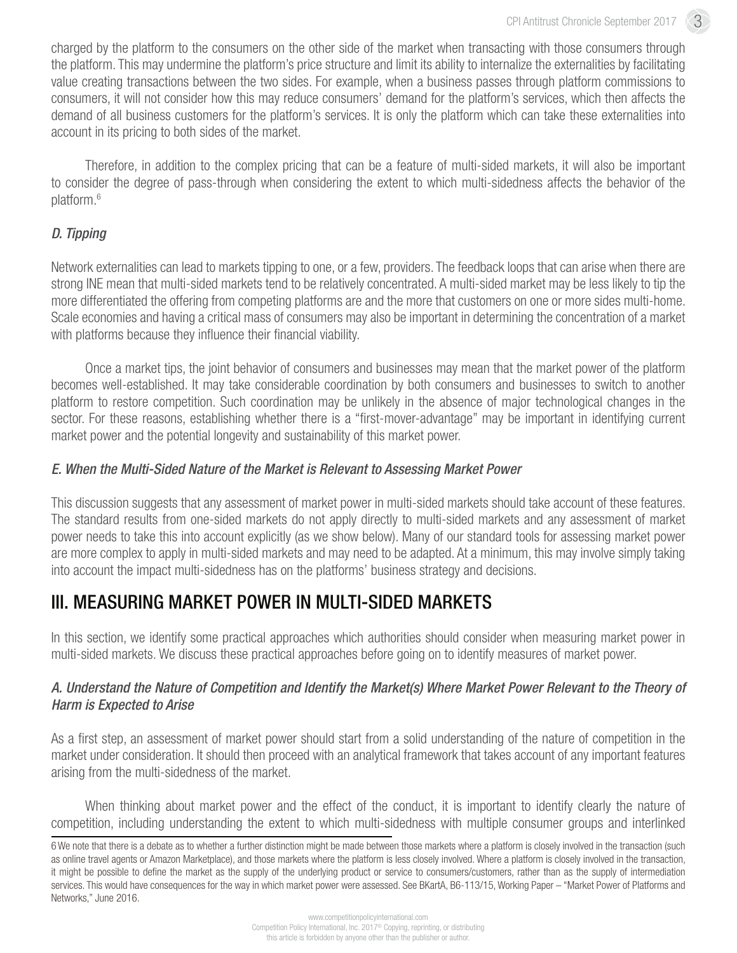charged by the platform to the consumers on the other side of the market when transacting with those consumers through the platform. This may undermine the platform's price structure and limit its ability to internalize the externalities by facilitating value creating transactions between the two sides. For example, when a business passes through platform commissions to consumers, it will not consider how this may reduce consumers' demand for the platform's services, which then affects the demand of all business customers for the platform's services. It is only the platform which can take these externalities into account in its pricing to both sides of the market.

Therefore, in addition to the complex pricing that can be a feature of multi-sided markets, it will also be important to consider the degree of pass-through when considering the extent to which multi-sidedness affects the behavior of the platform.6

### *D. Tipping*

Network externalities can lead to markets tipping to one, or a few, providers. The feedback loops that can arise when there are strong INE mean that multi-sided markets tend to be relatively concentrated. A multi-sided market may be less likely to tip the more differentiated the offering from competing platforms are and the more that customers on one or more sides multi-home. Scale economies and having a critical mass of consumers may also be important in determining the concentration of a market with platforms because they influence their financial viability.

Once a market tips, the joint behavior of consumers and businesses may mean that the market power of the platform becomes well-established. It may take considerable coordination by both consumers and businesses to switch to another platform to restore competition. Such coordination may be unlikely in the absence of major technological changes in the sector. For these reasons, establishing whether there is a "first-mover-advantage" may be important in identifying current market power and the potential longevity and sustainability of this market power.

### *E. When the Multi-Sided Nature of the Market is Relevant to Assessing Market Power*

This discussion suggests that any assessment of market power in multi-sided markets should take account of these features. The standard results from one-sided markets do not apply directly to multi-sided markets and any assessment of market power needs to take this into account explicitly (as we show below). Many of our standard tools for assessing market power are more complex to apply in multi-sided markets and may need to be adapted. At a minimum, this may involve simply taking into account the impact multi-sidedness has on the platforms' business strategy and decisions.

# III. MEASURING MARKET POWER IN MULTI-SIDED MARKETS

In this section, we identify some practical approaches which authorities should consider when measuring market power in multi-sided markets. We discuss these practical approaches before going on to identify measures of market power.

### *A. Understand the Nature of Competition and Identify the Market(s) Where Market Power Relevant to the Theory of Harm is Expected to Arise*

As a first step, an assessment of market power should start from a solid understanding of the nature of competition in the market under consideration. It should then proceed with an analytical framework that takes account of any important features arising from the multi-sidedness of the market.

When thinking about market power and the effect of the conduct, it is important to identify clearly the nature of competition, including understanding the extent to which multi-sidedness with multiple consumer groups and interlinked

<sup>6</sup>We note that there is a debate as to whether a further distinction might be made between those markets where a platform is closely involved in the transaction (such as online travel agents or Amazon Marketplace), and those markets where the platform is less closely involved. Where a platform is closely involved in the transaction, it might be possible to define the market as the supply of the underlying product or service to consumers/customers, rather than as the supply of intermediation services. This would have consequences for the way in which market power were assessed. See BKartA, B6-113/15, Working Paper – "Market Power of Platforms and Networks," June 2016.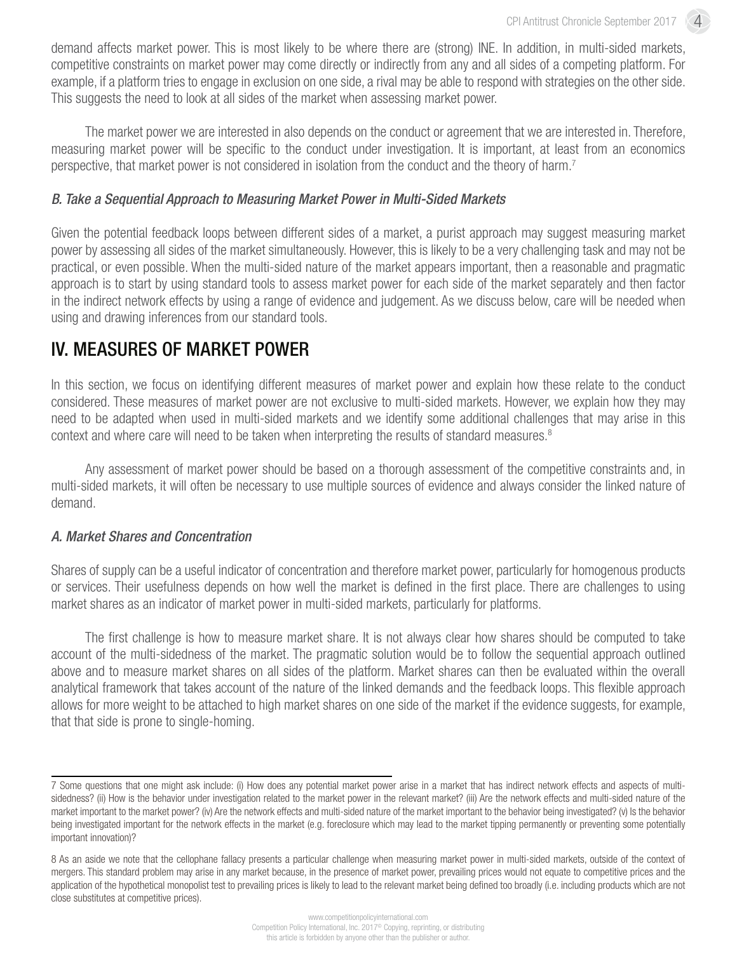4

demand affects market power. This is most likely to be where there are (strong) INE. In addition, in multi-sided markets, competitive constraints on market power may come directly or indirectly from any and all sides of a competing platform. For example, if a platform tries to engage in exclusion on one side, a rival may be able to respond with strategies on the other side. This suggests the need to look at all sides of the market when assessing market power.

The market power we are interested in also depends on the conduct or agreement that we are interested in. Therefore, measuring market power will be specific to the conduct under investigation. It is important, at least from an economics perspective, that market power is not considered in isolation from the conduct and the theory of harm.7

### *B. Take a Sequential Approach to Measuring Market Power in Multi-Sided Markets*

Given the potential feedback loops between different sides of a market, a purist approach may suggest measuring market power by assessing all sides of the market simultaneously. However, this is likely to be a very challenging task and may not be practical, or even possible. When the multi-sided nature of the market appears important, then a reasonable and pragmatic approach is to start by using standard tools to assess market power for each side of the market separately and then factor in the indirect network effects by using a range of evidence and judgement. As we discuss below, care will be needed when using and drawing inferences from our standard tools.

### IV. MEASURES OF MARKET POWER

In this section, we focus on identifying different measures of market power and explain how these relate to the conduct considered. These measures of market power are not exclusive to multi-sided markets. However, we explain how they may need to be adapted when used in multi-sided markets and we identify some additional challenges that may arise in this context and where care will need to be taken when interpreting the results of standard measures. $8$ 

Any assessment of market power should be based on a thorough assessment of the competitive constraints and, in multi-sided markets, it will often be necessary to use multiple sources of evidence and always consider the linked nature of demand.

### *A. Market Shares and Concentration*

Shares of supply can be a useful indicator of concentration and therefore market power, particularly for homogenous products or services. Their usefulness depends on how well the market is defined in the first place. There are challenges to using market shares as an indicator of market power in multi-sided markets, particularly for platforms.

The first challenge is how to measure market share. It is not always clear how shares should be computed to take account of the multi-sidedness of the market. The pragmatic solution would be to follow the sequential approach outlined above and to measure market shares on all sides of the platform. Market shares can then be evaluated within the overall analytical framework that takes account of the nature of the linked demands and the feedback loops. This flexible approach allows for more weight to be attached to high market shares on one side of the market if the evidence suggests, for example, that that side is prone to single-homing.

<sup>7</sup> Some questions that one might ask include: (i) How does any potential market power arise in a market that has indirect network effects and aspects of multisidedness? (ii) How is the behavior under investigation related to the market power in the relevant market? (iii) Are the network effects and multi-sided nature of the market important to the market power? (iv) Are the network effects and multi-sided nature of the market important to the behavior being investigated? (v) Is the behavior being investigated important for the network effects in the market (e.g. foreclosure which may lead to the market tipping permanently or preventing some potentially important innovation)?

<sup>8</sup> As an aside we note that the cellophane fallacy presents a particular challenge when measuring market power in multi-sided markets, outside of the context of mergers. This standard problem may arise in any market because, in the presence of market power, prevailing prices would not equate to competitive prices and the application of the hypothetical monopolist test to prevailing prices is likely to lead to the relevant market being defined too broadly (i.e. including products which are not close substitutes at competitive prices).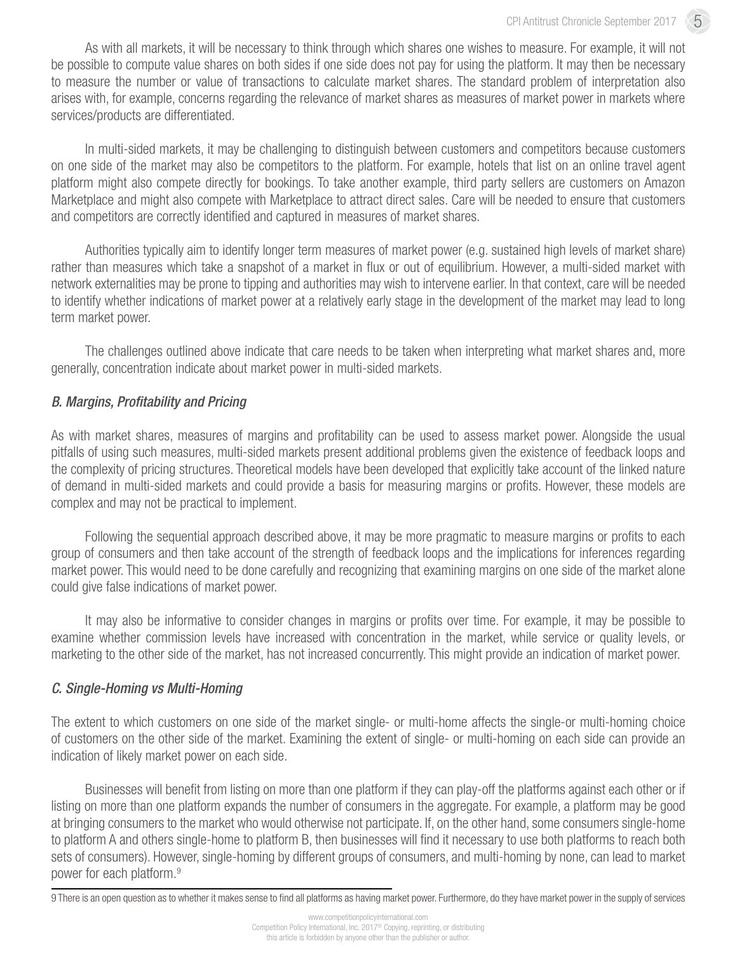5

As with all markets, it will be necessary to think through which shares one wishes to measure. For example, it will not be possible to compute value shares on both sides if one side does not pay for using the platform. It may then be necessary to measure the number or value of transactions to calculate market shares. The standard problem of interpretation also arises with, for example, concerns regarding the relevance of market shares as measures of market power in markets where services/products are differentiated.

In multi-sided markets, it may be challenging to distinguish between customers and competitors because customers on one side of the market may also be competitors to the platform. For example, hotels that list on an online travel agent platform might also compete directly for bookings. To take another example, third party sellers are customers on Amazon Marketplace and might also compete with Marketplace to attract direct sales. Care will be needed to ensure that customers and competitors are correctly identified and captured in measures of market shares.

Authorities typically aim to identify longer term measures of market power (e.g. sustained high levels of market share) rather than measures which take a snapshot of a market in flux or out of equilibrium. However, a multi-sided market with network externalities may be prone to tipping and authorities may wish to intervene earlier. In that context, care will be needed to identify whether indications of market power at a relatively early stage in the development of the market may lead to long term market power.

The challenges outlined above indicate that care needs to be taken when interpreting what market shares and, more generally, concentration indicate about market power in multi-sided markets.

### *B. Margins, Profitability and Pricing*

As with market shares, measures of margins and profitability can be used to assess market power. Alongside the usual pitfalls of using such measures, multi-sided markets present additional problems given the existence of feedback loops and the complexity of pricing structures. Theoretical models have been developed that explicitly take account of the linked nature of demand in multi-sided markets and could provide a basis for measuring margins or profits. However, these models are complex and may not be practical to implement.

Following the sequential approach described above, it may be more pragmatic to measure margins or profits to each group of consumers and then take account of the strength of feedback loops and the implications for inferences regarding market power. This would need to be done carefully and recognizing that examining margins on one side of the market alone could give false indications of market power.

It may also be informative to consider changes in margins or profits over time. For example, it may be possible to examine whether commission levels have increased with concentration in the market, while service or quality levels, or marketing to the other side of the market, has not increased concurrently. This might provide an indication of market power.

### *C. Single-Homing vs Multi-Homing*

The extent to which customers on one side of the market single- or multi-home affects the single-or multi-homing choice of customers on the other side of the market. Examining the extent of single- or multi-homing on each side can provide an indication of likely market power on each side.

Businesses will benefit from listing on more than one platform if they can play-off the platforms against each other or if listing on more than one platform expands the number of consumers in the aggregate. For example, a platform may be good at bringing consumers to the market who would otherwise not participate. If, on the other hand, some consumers single-home to platform A and others single-home to platform B, then businesses will find it necessary to use both platforms to reach both sets of consumers). However, single-homing by different groups of consumers, and multi-homing by none, can lead to market power for each platform.<sup>9</sup>

<sup>9</sup> There is an open question as to whether it makes sense to find all platforms as having market power. Furthermore, do they have market power in the supply of services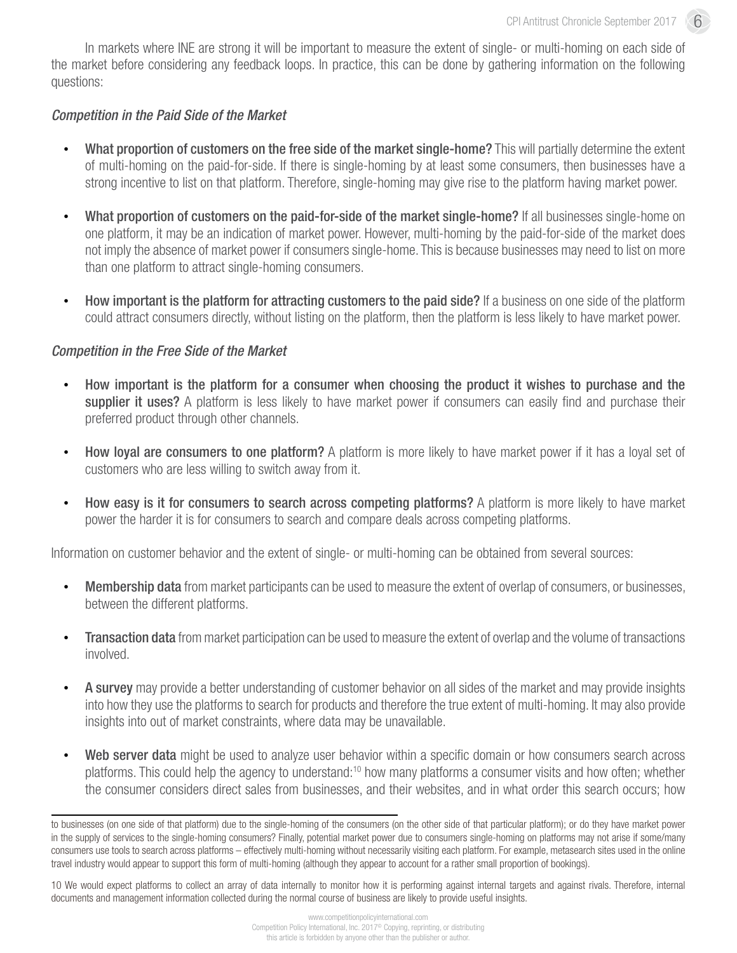In markets where INE are strong it will be important to measure the extent of single- or multi-homing on each side of the market before considering any feedback loops. In practice, this can be done by gathering information on the following questions:

### *Competition in the Paid Side of the Market*

- What proportion of customers on the free side of the market single-home? This will partially determine the extent of multi-homing on the paid-for-side. If there is single-homing by at least some consumers, then businesses have a strong incentive to list on that platform. Therefore, single-homing may give rise to the platform having market power.
- What proportion of customers on the paid-for-side of the market single-home? If all businesses single-home on one platform, it may be an indication of market power. However, multi-homing by the paid-for-side of the market does not imply the absence of market power if consumers single-home. This is because businesses may need to list on more than one platform to attract single-homing consumers.
- How important is the platform for attracting customers to the paid side? If a business on one side of the platform could attract consumers directly, without listing on the platform, then the platform is less likely to have market power.

### *Competition in the Free Side of the Market*

- How important is the platform for a consumer when choosing the product it wishes to purchase and the supplier it uses? A platform is less likely to have market power if consumers can easily find and purchase their preferred product through other channels.
- How loyal are consumers to one platform? A platform is more likely to have market power if it has a loyal set of customers who are less willing to switch away from it.
- How easy is it for consumers to search across competing platforms? A platform is more likely to have market power the harder it is for consumers to search and compare deals across competing platforms.

Information on customer behavior and the extent of single- or multi-homing can be obtained from several sources:

- Membership data from market participants can be used to measure the extent of overlap of consumers, or businesses, between the different platforms.
- Transaction data from market participation can be used to measure the extent of overlap and the volume of transactions involved.
- A survey may provide a better understanding of customer behavior on all sides of the market and may provide insights into how they use the platforms to search for products and therefore the true extent of multi-homing. It may also provide insights into out of market constraints, where data may be unavailable.
- Web server data might be used to analyze user behavior within a specific domain or how consumers search across platforms. This could help the agency to understand:10 how many platforms a consumer visits and how often; whether the consumer considers direct sales from businesses, and their websites, and in what order this search occurs; how

to businesses (on one side of that platform) due to the single-homing of the consumers (on the other side of that particular platform); or do they have market power in the supply of services to the single-homing consumers? Finally, potential market power due to consumers single-homing on platforms may not arise if some/many consumers use tools to search across platforms – effectively multi-homing without necessarily visiting each platform. For example, metasearch sites used in the online travel industry would appear to support this form of multi-homing (although they appear to account for a rather small proportion of bookings).

<sup>10</sup> We would expect platforms to collect an array of data internally to monitor how it is performing against internal targets and against rivals. Therefore, internal documents and management information collected during the normal course of business are likely to provide useful insights.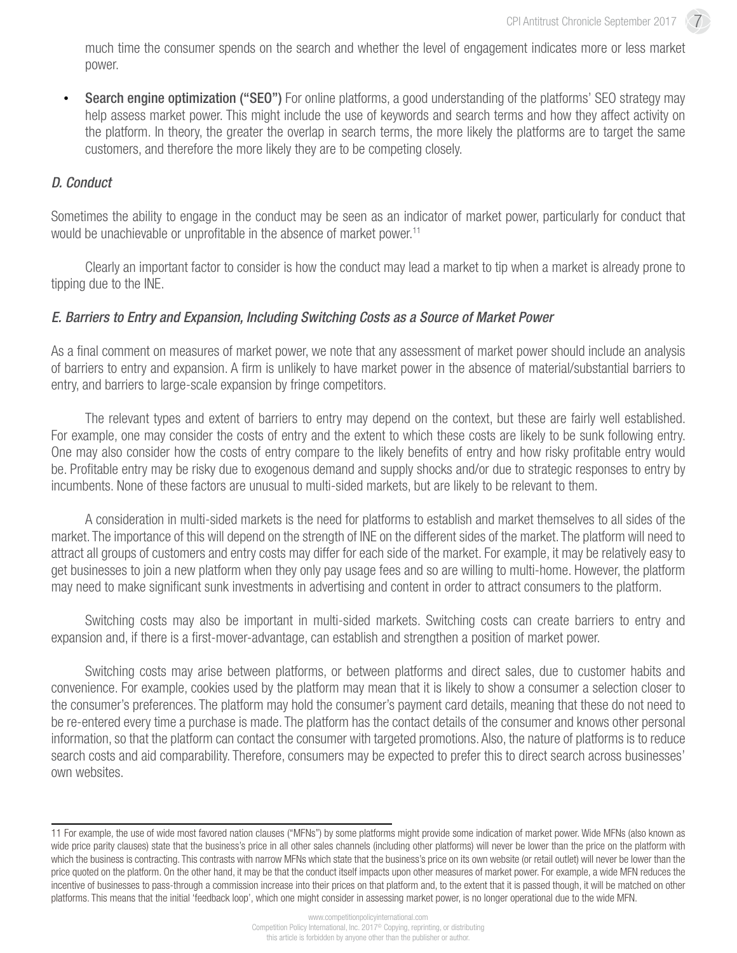7

much time the consumer spends on the search and whether the level of engagement indicates more or less market power.

**Search engine optimization ("SEO")** For online platforms, a good understanding of the platforms' SEO strategy may help assess market power. This might include the use of keywords and search terms and how they affect activity on the platform. In theory, the greater the overlap in search terms, the more likely the platforms are to target the same customers, and therefore the more likely they are to be competing closely.

#### *D. Conduct*

Sometimes the ability to engage in the conduct may be seen as an indicator of market power, particularly for conduct that would be unachievable or unprofitable in the absence of market power.<sup>11</sup>

Clearly an important factor to consider is how the conduct may lead a market to tip when a market is already prone to tipping due to the INE.

#### *E. Barriers to Entry and Expansion, Including Switching Costs as a Source of Market Power*

As a final comment on measures of market power, we note that any assessment of market power should include an analysis of barriers to entry and expansion. A firm is unlikely to have market power in the absence of material/substantial barriers to entry, and barriers to large-scale expansion by fringe competitors.

The relevant types and extent of barriers to entry may depend on the context, but these are fairly well established. For example, one may consider the costs of entry and the extent to which these costs are likely to be sunk following entry. One may also consider how the costs of entry compare to the likely benefits of entry and how risky profitable entry would be. Profitable entry may be risky due to exogenous demand and supply shocks and/or due to strategic responses to entry by incumbents. None of these factors are unusual to multi-sided markets, but are likely to be relevant to them.

A consideration in multi-sided markets is the need for platforms to establish and market themselves to all sides of the market. The importance of this will depend on the strength of INE on the different sides of the market. The platform will need to attract all groups of customers and entry costs may differ for each side of the market. For example, it may be relatively easy to get businesses to join a new platform when they only pay usage fees and so are willing to multi-home. However, the platform may need to make significant sunk investments in advertising and content in order to attract consumers to the platform.

Switching costs may also be important in multi-sided markets. Switching costs can create barriers to entry and expansion and, if there is a first-mover-advantage, can establish and strengthen a position of market power.

Switching costs may arise between platforms, or between platforms and direct sales, due to customer habits and convenience. For example, cookies used by the platform may mean that it is likely to show a consumer a selection closer to the consumer's preferences. The platform may hold the consumer's payment card details, meaning that these do not need to be re-entered every time a purchase is made. The platform has the contact details of the consumer and knows other personal information, so that the platform can contact the consumer with targeted promotions. Also, the nature of platforms is to reduce search costs and aid comparability. Therefore, consumers may be expected to prefer this to direct search across businesses' own websites.

<sup>11</sup> For example, the use of wide most favored nation clauses ("MFNs") by some platforms might provide some indication of market power. Wide MFNs (also known as wide price parity clauses) state that the business's price in all other sales channels (including other platforms) will never be lower than the price on the platform with which the business is contracting. This contrasts with narrow MFNs which state that the business's price on its own website (or retail outlet) will never be lower than the price quoted on the platform. On the other hand, it may be that the conduct itself impacts upon other measures of market power. For example, a wide MFN reduces the incentive of businesses to pass-through a commission increase into their prices on that platform and, to the extent that it is passed though, it will be matched on other platforms. This means that the initial 'feedback loop', which one might consider in assessing market power, is no longer operational due to the wide MFN.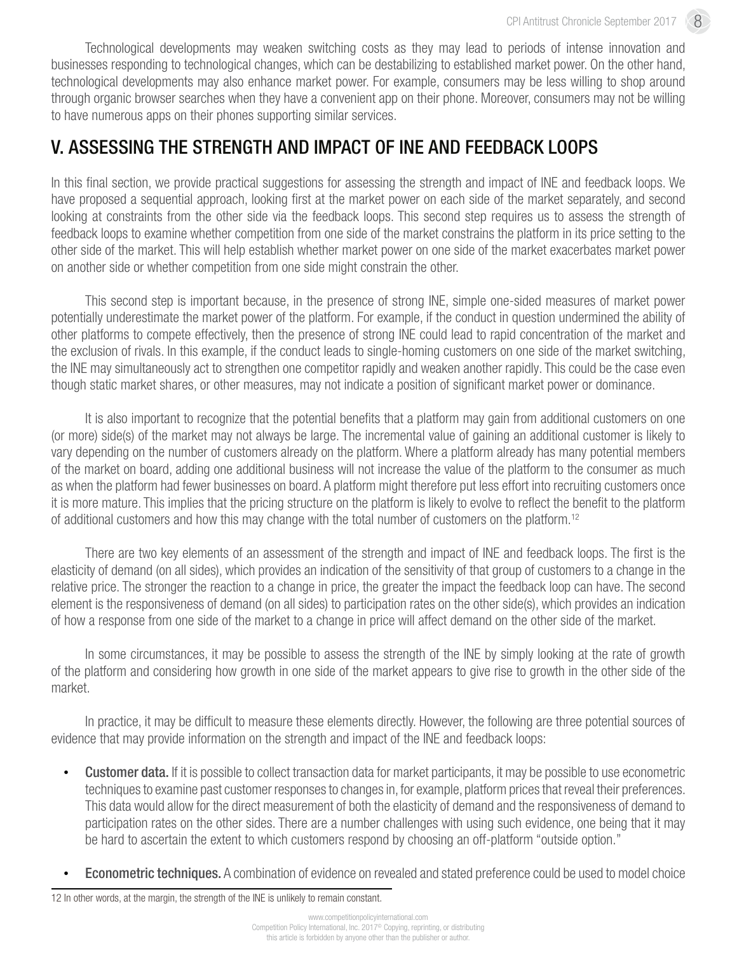Technological developments may weaken switching costs as they may lead to periods of intense innovation and businesses responding to technological changes, which can be destabilizing to established market power. On the other hand, technological developments may also enhance market power. For example, consumers may be less willing to shop around through organic browser searches when they have a convenient app on their phone. Moreover, consumers may not be willing to have numerous apps on their phones supporting similar services.

# V. ASSESSING THE STRENGTH AND IMPACT OF INE AND FEEDBACK LOOPS

In this final section, we provide practical suggestions for assessing the strength and impact of INE and feedback loops. We have proposed a sequential approach, looking first at the market power on each side of the market separately, and second looking at constraints from the other side via the feedback loops. This second step requires us to assess the strength of feedback loops to examine whether competition from one side of the market constrains the platform in its price setting to the other side of the market. This will help establish whether market power on one side of the market exacerbates market power on another side or whether competition from one side might constrain the other.

This second step is important because, in the presence of strong INE, simple one-sided measures of market power potentially underestimate the market power of the platform. For example, if the conduct in question undermined the ability of other platforms to compete effectively, then the presence of strong INE could lead to rapid concentration of the market and the exclusion of rivals. In this example, if the conduct leads to single-homing customers on one side of the market switching, the INE may simultaneously act to strengthen one competitor rapidly and weaken another rapidly. This could be the case even though static market shares, or other measures, may not indicate a position of significant market power or dominance.

It is also important to recognize that the potential benefits that a platform may gain from additional customers on one (or more) side(s) of the market may not always be large. The incremental value of gaining an additional customer is likely to vary depending on the number of customers already on the platform. Where a platform already has many potential members of the market on board, adding one additional business will not increase the value of the platform to the consumer as much as when the platform had fewer businesses on board. A platform might therefore put less effort into recruiting customers once it is more mature. This implies that the pricing structure on the platform is likely to evolve to reflect the benefit to the platform of additional customers and how this may change with the total number of customers on the platform.12

There are two key elements of an assessment of the strength and impact of INE and feedback loops. The first is the elasticity of demand (on all sides), which provides an indication of the sensitivity of that group of customers to a change in the relative price. The stronger the reaction to a change in price, the greater the impact the feedback loop can have. The second element is the responsiveness of demand (on all sides) to participation rates on the other side(s), which provides an indication of how a response from one side of the market to a change in price will affect demand on the other side of the market.

In some circumstances, it may be possible to assess the strength of the INE by simply looking at the rate of growth of the platform and considering how growth in one side of the market appears to give rise to growth in the other side of the market.

In practice, it may be difficult to measure these elements directly. However, the following are three potential sources of evidence that may provide information on the strength and impact of the INE and feedback loops:

- Customer data. If it is possible to collect transaction data for market participants, it may be possible to use econometric techniques to examine past customer responses to changes in, for example, platform prices that reveal their preferences. This data would allow for the direct measurement of both the elasticity of demand and the responsiveness of demand to participation rates on the other sides. There are a number challenges with using such evidence, one being that it may be hard to ascertain the extent to which customers respond by choosing an off-platform "outside option."
- **Econometric techniques.** A combination of evidence on revealed and stated preference could be used to model choice

<sup>12</sup> In other words, at the margin, the strength of the INE is unlikely to remain constant.